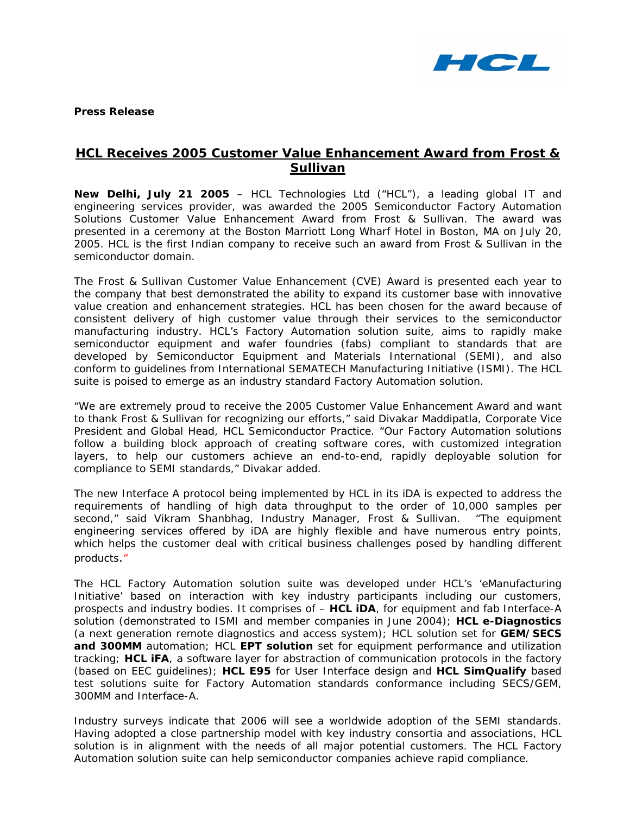

**Press Release** 

## **HCL Receives** *2005 Customer Value Enhancement Award* **from Frost & Sullivan**

**New Delhi, July 21 2005** – HCL Technologies Ltd ("HCL"), a leading global IT and engineering services provider, was awarded the 2005 Semiconductor Factory Automation Solutions Customer Value Enhancement Award from Frost & Sullivan. The award was presented in a ceremony at the Boston Marriott Long Wharf Hotel in Boston, MA on July 20, 2005. HCL is the first Indian company to receive such an award from Frost & Sullivan in the semiconductor domain.

The Frost & Sullivan Customer Value Enhancement (CVE) Award is presented each year to the company that best demonstrated the ability to expand its customer base with innovative value creation and enhancement strategies. HCL has been chosen for the award because of consistent delivery of high customer value through their services to the semiconductor manufacturing industry. HCL's Factory Automation solution suite, aims to rapidly make semiconductor equipment and wafer foundries (fabs) compliant to standards that are developed by Semiconductor Equipment and Materials International (SEMI), and also conform to guidelines from International SEMATECH Manufacturing Initiative (ISMI). The HCL suite is poised to emerge as an industry standard Factory Automation solution.

"We are extremely proud to receive the 2005 Customer Value Enhancement Award and want to thank Frost & Sullivan for recognizing our efforts," said Divakar Maddipatla, Corporate Vice President and Global Head, HCL Semiconductor Practice. "Our Factory Automation solutions follow a building block approach of creating software cores, with customized integration layers, to help our customers achieve an *end-to-end, rapidly deployable* solution for compliance to SEMI standards," Divakar added.

The new Interface A protocol being implemented by HCL in its iDA is expected to address the requirements of handling of high data throughput to the order of 10,000 samples per second," said Vikram Shanbhag, Industry Manager, Frost & Sullivan. "The equipment engineering services offered by iDA are highly flexible and have numerous entry points, which helps the customer deal with critical business challenges posed by handling different products."

The HCL Factory Automation solution suite was developed under HCL's '*eManufacturing Initiative'* based on interaction with key industry participants including our customers, prospects and industry bodies. It comprises of – **HCL iDA**, for equipment and fab Interface-A solution (demonstrated to ISMI and member companies in June 2004); **HCL e-Diagnostics** (a next generation remote diagnostics and access system); HCL solution set for **GEM/SECS and 300MM** automation; HCL **EPT solution** set for equipment performance and utilization tracking; **HCL iFA**, a software layer for abstraction of communication protocols in the factory (based on EEC guidelines); **HCL E95** for User Interface design and **HCL SimQualify** based test solutions suite for Factory Automation standards conformance including SECS/GEM, 300MM and Interface-A.

Industry surveys indicate that 2006 will see a worldwide adoption of the SEMI standards. Having adopted a close partnership model with key industry consortia and associations, HCL solution is in alignment with the needs of all major potential customers. The HCL Factory Automation solution suite can help semiconductor companies achieve rapid compliance.